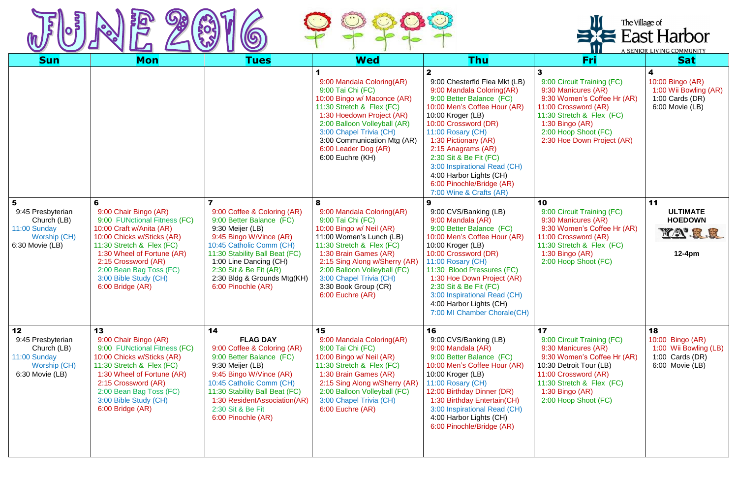



|                                                                                           |                                                                                                                                                                                                                                                                                |                                                                                                                                                                                                                                                                               |                                                                                                                                                                                                                                                                                                           |                                                                                                                                                                                                                                                                                                                                                                                          |                                                                                                                                                                                                                     | The Village of<br>$\equiv$ East Harbor<br>A SENIOR LIVING COMMUNITY                     |  |
|-------------------------------------------------------------------------------------------|--------------------------------------------------------------------------------------------------------------------------------------------------------------------------------------------------------------------------------------------------------------------------------|-------------------------------------------------------------------------------------------------------------------------------------------------------------------------------------------------------------------------------------------------------------------------------|-----------------------------------------------------------------------------------------------------------------------------------------------------------------------------------------------------------------------------------------------------------------------------------------------------------|------------------------------------------------------------------------------------------------------------------------------------------------------------------------------------------------------------------------------------------------------------------------------------------------------------------------------------------------------------------------------------------|---------------------------------------------------------------------------------------------------------------------------------------------------------------------------------------------------------------------|-----------------------------------------------------------------------------------------|--|
| <b>Sun</b>                                                                                | <b>Mon</b>                                                                                                                                                                                                                                                                     | <b>Tues</b>                                                                                                                                                                                                                                                                   | <b>Wed</b>                                                                                                                                                                                                                                                                                                | <b>Thu</b>                                                                                                                                                                                                                                                                                                                                                                               | Fri                                                                                                                                                                                                                 | <b>Sat</b>                                                                              |  |
|                                                                                           |                                                                                                                                                                                                                                                                                |                                                                                                                                                                                                                                                                               | 9:00 Mandala Coloring(AR)<br>9:00 Tai Chi (FC)<br>10:00 Bingo w/ Maconce (AR)<br>11:30 Stretch & Flex (FC)<br>1:30 Hoedown Project (AR)<br>2:00 Balloon Volleyball (AR)<br>3:00 Chapel Trivia (CH)<br>3:00 Communication Mtg (AR)<br>6:00 Leader Dog (AR)<br>6:00 Euchre (KH)                             | 2<br>9:00 Chesterfld Flea Mkt (LB)<br>9:00 Mandala Coloring(AR)<br>9:00 Better Balance (FC)<br>10:00 Men's Coffee Hour (AR)<br>10:00 Kroger (LB)<br>10:00 Crossword (DR)<br>11:00 Rosary (CH)<br>1:30 Pictionary (AR)<br>2:15 Anagrams (AR)<br>2:30 Sit & Be Fit (FC)<br>3:00 Inspirational Read (CH)<br>4:00 Harbor Lights (CH)<br>6:00 Pinochle/Bridge (AR)<br>7:00 Wine & Crafts (AR) | 9:00 Circuit Training (FC)<br>9:30 Manicures (AR)<br>9:30 Women's Coffee Hr (AR)<br>11:00 Crossword (AR)<br>11:30 Stretch & Flex (FC)<br>1:30 Bingo $(AR)$<br>2:00 Hoop Shoot (FC)<br>2:30 Hoe Down Project (AR)    | 4<br>10:00 Bingo (AR)<br>1:00 Wii Bowling (AR)<br>$1:00$ Cards (DR)<br>6:00 Movie (LB)  |  |
| 5<br>9:45 Presbyterian<br>Church (LB)<br>11:00 Sunday<br>Worship (CH)<br>6:30 Movie (LB)  | 6<br>9:00 Chair Bingo (AR)<br>9:00 FUNctional Fitness (FC)<br>10:00 Craft w/Anita (AR)<br>10:00 Chicks w/Sticks (AR)<br>11:30 Stretch & Flex (FC)<br>1:30 Wheel of Fortune (AR)<br>2:15 Crossword (AR)<br>2:00 Bean Bag Toss (FC)<br>3:00 Bible Study (CH)<br>6:00 Bridge (AR) | 9:00 Coffee & Coloring (AR)<br>9:00 Better Balance (FC)<br>9:30 Meijer (LB)<br>9:45 Bingo W/Vince (AR)<br>10:45 Catholic Comm (CH)<br>11:30 Stability Ball Beat (FC)<br>1:00 Line Dancing (CH)<br>2:30 Sit & Be Fit (AR)<br>2:30 Bldg & Grounds Mtg(KH)<br>6:00 Pinochle (AR) | 8<br>9:00 Mandala Coloring(AR)<br>9:00 Tai Chi (FC)<br>10:00 Bingo w/ Neil (AR)<br>11:00 Women's Lunch (LB)<br>11:30 Stretch & Flex (FC)<br>1:30 Brain Games (AR)<br>2:15 Sing Along w/Sherry (AR)<br>2:00 Balloon Volleyball (FC)<br>3:00 Chapel Trivia (CH)<br>3:30 Book Group (CR)<br>6:00 Euchre (AR) | 9<br>9:00 CVS/Banking (LB)<br>9:00 Mandala (AR)<br>9:00 Better Balance (FC)<br>10:00 Men's Coffee Hour (AR)<br>10:00 Kroger (LB)<br>10:00 Crossword (DR)<br>11:00 Rosary (CH)<br>11:30 Blood Pressures (FC)<br>1:30 Hoe Down Project (AR)<br>2:30 Sit & Be Fit (FC)<br>3:00 Inspirational Read (CH)<br>4:00 Harbor Lights (CH)<br>7:00 MI Chamber Chorale(CH)                            | 10<br>9:00 Circuit Training (FC)<br>9:30 Manicures (AR)<br>9:30 Women's Coffee Hr (AR)<br>11:00 Crossword (AR)<br>11:30 Stretch & Flex (FC)<br>1:30 Bingo $(AR)$<br>2:00 Hoop Shoot (FC)                            | 11<br><b>ULTIMATE</b><br><b>HOEDOWN</b><br>YA'R.R<br>$12-4pm$                           |  |
| 12<br>9:45 Presbyterian<br>Church (LB)<br>11:00 Sunday<br>Worship (CH)<br>6:30 Movie (LB) | 13<br>9:00 Chair Bingo (AR)<br>9:00 FUNctional Fitness (FC)<br>10:00 Chicks w/Sticks (AR)<br>11:30 Stretch & Flex (FC)<br>1:30 Wheel of Fortune (AR)<br>2:15 Crossword (AR)<br>2:00 Bean Bag Toss (FC)<br>3:00 Bible Study (CH)<br>6:00 Bridge (AR)                            | 14<br><b>FLAG DAY</b><br>9:00 Coffee & Coloring (AR)<br>9:00 Better Balance (FC)<br>9:30 Meijer (LB)<br>9:45 Bingo W/Vince (AR)<br>10:45 Catholic Comm (CH)<br>11:30 Stability Ball Beat (FC)<br>1:30 ResidentAssociation(AR)<br>2:30 Sit & Be Fit<br>6:00 Pinochle (AR)      | 15<br>9:00 Mandala Coloring(AR)<br>9:00 Tai Chi (FC)<br>10:00 Bingo w/ Neil (AR)<br>11:30 Stretch & Flex (FC)<br>1:30 Brain Games (AR)<br>2:15 Sing Along w/Sherry (AR)<br>2:00 Balloon Volleyball (FC)<br>3:00 Chapel Trivia (CH)<br>6:00 Euchre (AR)                                                    | 16<br>9:00 CVS/Banking (LB)<br>9:00 Mandala (AR)<br>9:00 Better Balance (FC)<br>10:00 Men's Coffee Hour (AR)<br>10:00 Kroger (LB)<br>11:00 Rosary (CH)<br>12:00 Birthday Dinner (DR)<br>1:30 Birthday Entertain(CH)<br>3:00 Inspirational Read (CH)<br>4:00 Harbor Lights (CH)<br>6:00 Pinochle/Bridge (AR)                                                                              | 17<br>9:00 Circuit Training (FC)<br>9:30 Manicures (AR)<br>9:30 Women's Coffee Hr (AR)<br>10:30 Detroit Tour (LB)<br>11:00 Crossword (AR)<br>11:30 Stretch & Flex (FC)<br>$1:30$ Bingo (AR)<br>2:00 Hoop Shoot (FC) | 18<br>10:00 Bingo (AR)<br>1:00 Wii Bowling (LB)<br>1:00 Cards $(DR)$<br>6:00 Movie (LB) |  |